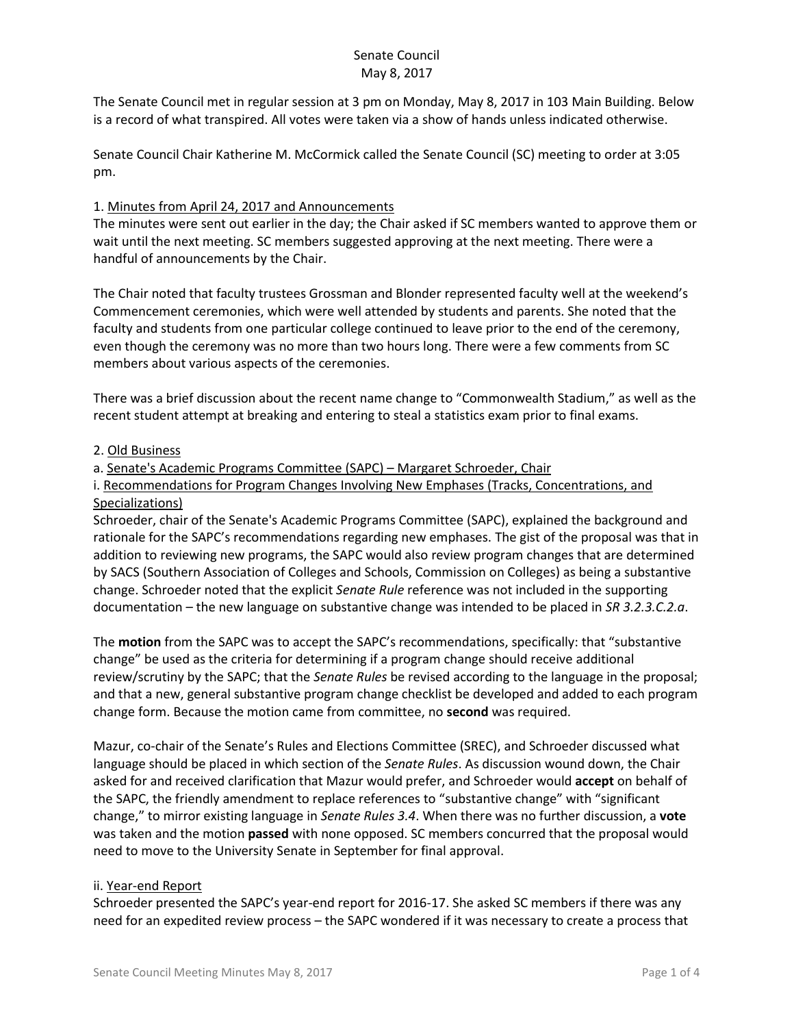The Senate Council met in regular session at 3 pm on Monday, May 8, 2017 in 103 Main Building. Below is a record of what transpired. All votes were taken via a show of hands unless indicated otherwise.

Senate Council Chair Katherine M. McCormick called the Senate Council (SC) meeting to order at 3:05 pm.

### 1. Minutes from April 24, 2017 and Announcements

The minutes were sent out earlier in the day; the Chair asked if SC members wanted to approve them or wait until the next meeting. SC members suggested approving at the next meeting. There were a handful of announcements by the Chair.

The Chair noted that faculty trustees Grossman and Blonder represented faculty well at the weekend's Commencement ceremonies, which were well attended by students and parents. She noted that the faculty and students from one particular college continued to leave prior to the end of the ceremony, even though the ceremony was no more than two hours long. There were a few comments from SC members about various aspects of the ceremonies.

There was a brief discussion about the recent name change to "Commonwealth Stadium," as well as the recent student attempt at breaking and entering to steal a statistics exam prior to final exams.

### 2. Old Business

a. Senate's Academic Programs Committee (SAPC) – Margaret Schroeder, Chair

i. Recommendations for Program Changes Involving New Emphases (Tracks, Concentrations, and Specializations)

Schroeder, chair of the Senate's Academic Programs Committee (SAPC), explained the background and rationale for the SAPC's recommendations regarding new emphases. The gist of the proposal was that in addition to reviewing new programs, the SAPC would also review program changes that are determined by SACS (Southern Association of Colleges and Schools, Commission on Colleges) as being a substantive change. Schroeder noted that the explicit *Senate Rule* reference was not included in the supporting documentation – the new language on substantive change was intended to be placed in *SR 3.2.3.C.2.a*.

The **motion** from the SAPC was to accept the SAPC's recommendations, specifically: that "substantive change" be used as the criteria for determining if a program change should receive additional review/scrutiny by the SAPC; that the *Senate Rules* be revised according to the language in the proposal; and that a new, general substantive program change checklist be developed and added to each program change form. Because the motion came from committee, no **second** was required.

Mazur, co-chair of the Senate's Rules and Elections Committee (SREC), and Schroeder discussed what language should be placed in which section of the *Senate Rules*. As discussion wound down, the Chair asked for and received clarification that Mazur would prefer, and Schroeder would **accept** on behalf of the SAPC, the friendly amendment to replace references to "substantive change" with "significant change," to mirror existing language in *Senate Rules 3.4*. When there was no further discussion, a **vote** was taken and the motion **passed** with none opposed. SC members concurred that the proposal would need to move to the University Senate in September for final approval.

### ii. Year-end Report

Schroeder presented the SAPC's year-end report for 2016-17. She asked SC members if there was any need for an expedited review process – the SAPC wondered if it was necessary to create a process that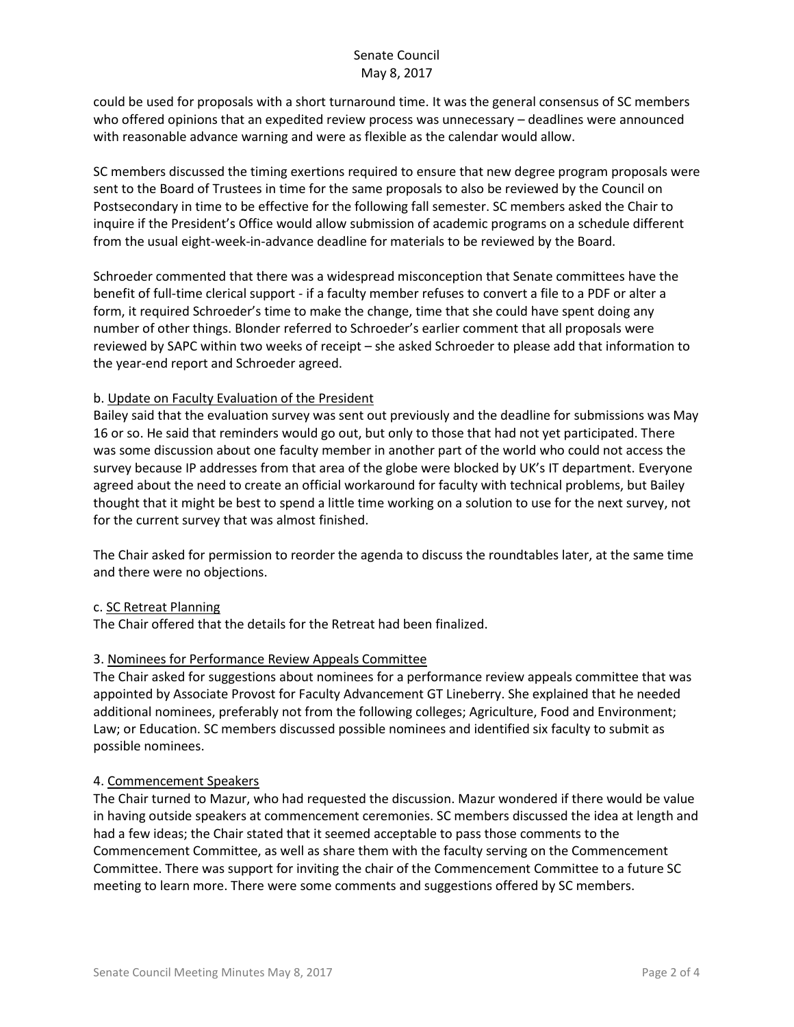could be used for proposals with a short turnaround time. It was the general consensus of SC members who offered opinions that an expedited review process was unnecessary – deadlines were announced with reasonable advance warning and were as flexible as the calendar would allow.

SC members discussed the timing exertions required to ensure that new degree program proposals were sent to the Board of Trustees in time for the same proposals to also be reviewed by the Council on Postsecondary in time to be effective for the following fall semester. SC members asked the Chair to inquire if the President's Office would allow submission of academic programs on a schedule different from the usual eight-week-in-advance deadline for materials to be reviewed by the Board.

Schroeder commented that there was a widespread misconception that Senate committees have the benefit of full-time clerical support - if a faculty member refuses to convert a file to a PDF or alter a form, it required Schroeder's time to make the change, time that she could have spent doing any number of other things. Blonder referred to Schroeder's earlier comment that all proposals were reviewed by SAPC within two weeks of receipt – she asked Schroeder to please add that information to the year-end report and Schroeder agreed.

### b. Update on Faculty Evaluation of the President

Bailey said that the evaluation survey was sent out previously and the deadline for submissions was May 16 or so. He said that reminders would go out, but only to those that had not yet participated. There was some discussion about one faculty member in another part of the world who could not access the survey because IP addresses from that area of the globe were blocked by UK's IT department. Everyone agreed about the need to create an official workaround for faculty with technical problems, but Bailey thought that it might be best to spend a little time working on a solution to use for the next survey, not for the current survey that was almost finished.

The Chair asked for permission to reorder the agenda to discuss the roundtables later, at the same time and there were no objections.

### c. SC Retreat Planning

The Chair offered that the details for the Retreat had been finalized.

### 3. Nominees for Performance Review Appeals Committee

The Chair asked for suggestions about nominees for a performance review appeals committee that was appointed by Associate Provost for Faculty Advancement GT Lineberry. She explained that he needed additional nominees, preferably not from the following colleges; Agriculture, Food and Environment; Law; or Education. SC members discussed possible nominees and identified six faculty to submit as possible nominees.

### 4. Commencement Speakers

The Chair turned to Mazur, who had requested the discussion. Mazur wondered if there would be value in having outside speakers at commencement ceremonies. SC members discussed the idea at length and had a few ideas; the Chair stated that it seemed acceptable to pass those comments to the Commencement Committee, as well as share them with the faculty serving on the Commencement Committee. There was support for inviting the chair of the Commencement Committee to a future SC meeting to learn more. There were some comments and suggestions offered by SC members.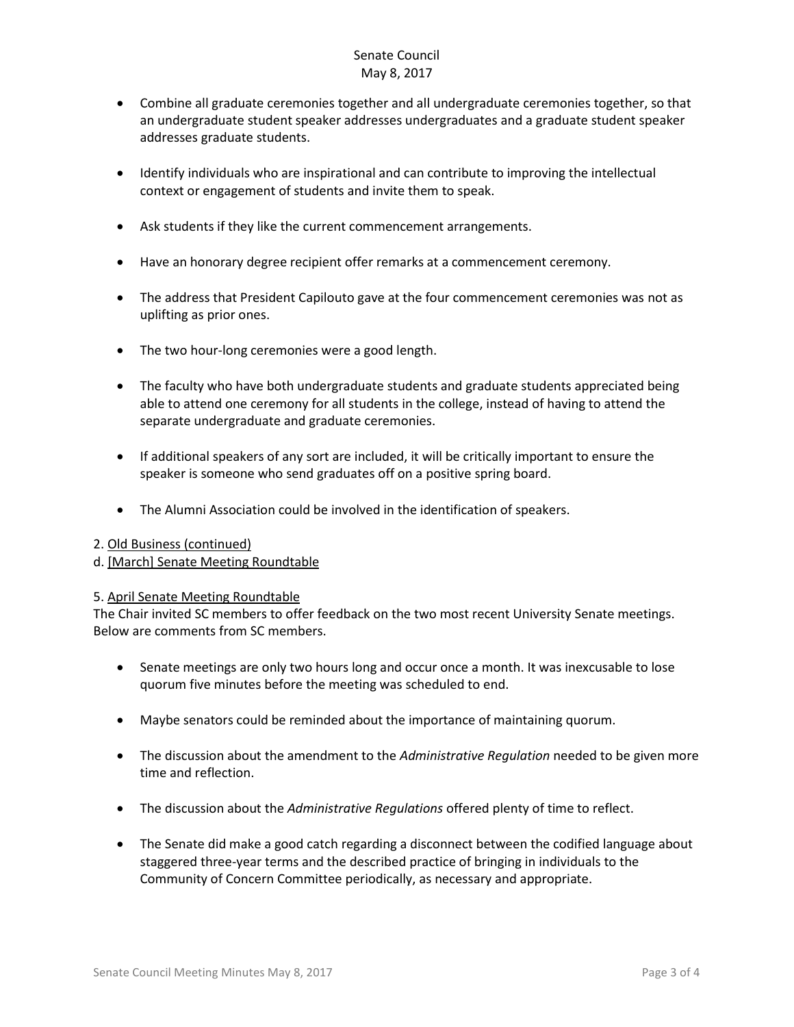- Combine all graduate ceremonies together and all undergraduate ceremonies together, so that an undergraduate student speaker addresses undergraduates and a graduate student speaker addresses graduate students.
- Identify individuals who are inspirational and can contribute to improving the intellectual context or engagement of students and invite them to speak.
- Ask students if they like the current commencement arrangements.
- Have an honorary degree recipient offer remarks at a commencement ceremony.
- The address that President Capilouto gave at the four commencement ceremonies was not as uplifting as prior ones.
- The two hour-long ceremonies were a good length.
- The faculty who have both undergraduate students and graduate students appreciated being able to attend one ceremony for all students in the college, instead of having to attend the separate undergraduate and graduate ceremonies.
- If additional speakers of any sort are included, it will be critically important to ensure the speaker is someone who send graduates off on a positive spring board.
- The Alumni Association could be involved in the identification of speakers.

#### 2. Old Business (continued)

### d. [March] Senate Meeting Roundtable

### 5. April Senate Meeting Roundtable

The Chair invited SC members to offer feedback on the two most recent University Senate meetings. Below are comments from SC members.

- Senate meetings are only two hours long and occur once a month. It was inexcusable to lose quorum five minutes before the meeting was scheduled to end.
- Maybe senators could be reminded about the importance of maintaining quorum.
- The discussion about the amendment to the *Administrative Regulation* needed to be given more time and reflection.
- The discussion about the *Administrative Regulations* offered plenty of time to reflect.
- The Senate did make a good catch regarding a disconnect between the codified language about staggered three-year terms and the described practice of bringing in individuals to the Community of Concern Committee periodically, as necessary and appropriate.